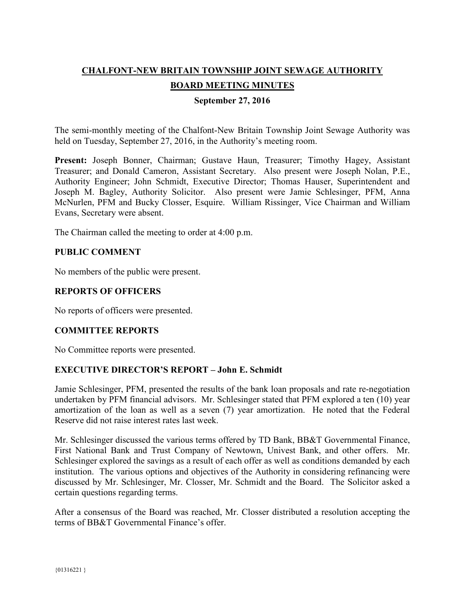# **CHALFONT-NEW BRITAIN TOWNSHIP JOINT SEWAGE AUTHORITY BOARD MEETING MINUTES**

## **September 27, 2016**

The semi-monthly meeting of the Chalfont-New Britain Township Joint Sewage Authority was held on Tuesday, September 27, 2016, in the Authority's meeting room.

**Present:** Joseph Bonner, Chairman; Gustave Haun, Treasurer; Timothy Hagey, Assistant Treasurer; and Donald Cameron, Assistant Secretary. Also present were Joseph Nolan, P.E., Authority Engineer; John Schmidt, Executive Director; Thomas Hauser, Superintendent and Joseph M. Bagley, Authority Solicitor. Also present were Jamie Schlesinger, PFM, Anna McNurlen, PFM and Bucky Closser, Esquire. William Rissinger, Vice Chairman and William Evans, Secretary were absent.

The Chairman called the meeting to order at 4:00 p.m.

## **PUBLIC COMMENT**

No members of the public were present.

#### **REPORTS OF OFFICERS**

No reports of officers were presented.

## **COMMITTEE REPORTS**

No Committee reports were presented.

## **EXECUTIVE DIRECTOR'S REPORT – John E. Schmidt**

Jamie Schlesinger, PFM, presented the results of the bank loan proposals and rate re-negotiation undertaken by PFM financial advisors. Mr. Schlesinger stated that PFM explored a ten (10) year amortization of the loan as well as a seven (7) year amortization. He noted that the Federal Reserve did not raise interest rates last week.

Mr. Schlesinger discussed the various terms offered by TD Bank, BB&T Governmental Finance, First National Bank and Trust Company of Newtown, Univest Bank, and other offers. Mr. Schlesinger explored the savings as a result of each offer as well as conditions demanded by each institution. The various options and objectives of the Authority in considering refinancing were discussed by Mr. Schlesinger, Mr. Closser, Mr. Schmidt and the Board. The Solicitor asked a certain questions regarding terms.

After a consensus of the Board was reached, Mr. Closser distributed a resolution accepting the terms of BB&T Governmental Finance's offer.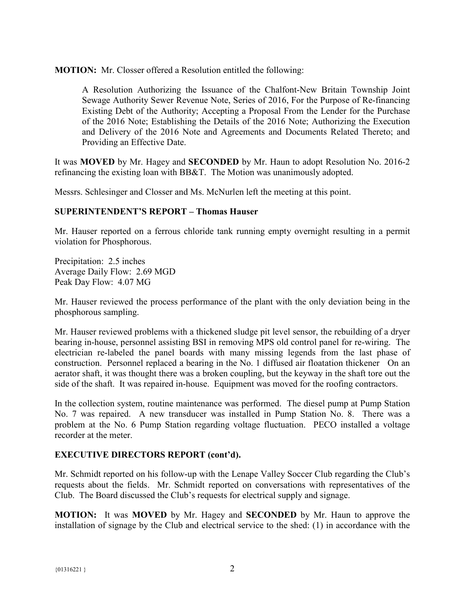**MOTION:** Mr. Closser offered a Resolution entitled the following:

A Resolution Authorizing the Issuance of the Chalfont-New Britain Township Joint Sewage Authority Sewer Revenue Note, Series of 2016, For the Purpose of Re-financing Existing Debt of the Authority; Accepting a Proposal From the Lender for the Purchase of the 2016 Note; Establishing the Details of the 2016 Note; Authorizing the Execution and Delivery of the 2016 Note and Agreements and Documents Related Thereto; and Providing an Effective Date.

It was **MOVED** by Mr. Hagey and **SECONDED** by Mr. Haun to adopt Resolution No. 2016-2 refinancing the existing loan with BB&T. The Motion was unanimously adopted.

Messrs. Schlesinger and Closser and Ms. McNurlen left the meeting at this point.

## **SUPERINTENDENT'S REPORT – Thomas Hauser**

Mr. Hauser reported on a ferrous chloride tank running empty overnight resulting in a permit violation for Phosphorous.

Precipitation: 2.5 inches Average Daily Flow: 2.69 MGD Peak Day Flow: 4.07 MG

Mr. Hauser reviewed the process performance of the plant with the only deviation being in the phosphorous sampling.

Mr. Hauser reviewed problems with a thickened sludge pit level sensor, the rebuilding of a dryer bearing in-house, personnel assisting BSI in removing MPS old control panel for re-wiring. The electrician re-labeled the panel boards with many missing legends from the last phase of construction. Personnel replaced a bearing in the No. 1 diffused air floatation thickener On an aerator shaft, it was thought there was a broken coupling, but the keyway in the shaft tore out the side of the shaft. It was repaired in-house. Equipment was moved for the roofing contractors.

In the collection system, routine maintenance was performed. The diesel pump at Pump Station No. 7 was repaired. A new transducer was installed in Pump Station No. 8. There was a problem at the No. 6 Pump Station regarding voltage fluctuation. PECO installed a voltage recorder at the meter.

## **EXECUTIVE DIRECTORS REPORT (cont'd).**

Mr. Schmidt reported on his follow-up with the Lenape Valley Soccer Club regarding the Club's requests about the fields. Mr. Schmidt reported on conversations with representatives of the Club. The Board discussed the Club's requests for electrical supply and signage.

**MOTION:** It was **MOVED** by Mr. Hagey and **SECONDED** by Mr. Haun to approve the installation of signage by the Club and electrical service to the shed: (1) in accordance with the